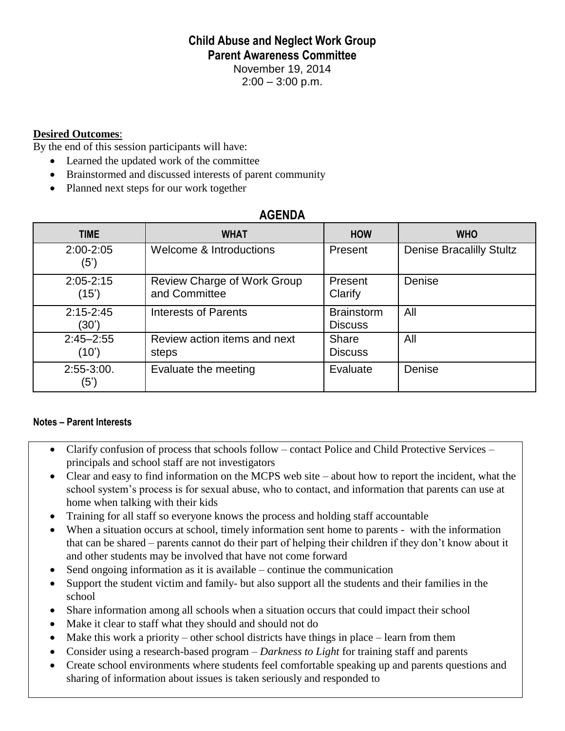## **Child Abuse and Neglect Work Group Parent Awareness Committee**

November 19, 2014

 $2:00 - 3:00$  p.m.

## **Desired Outcomes**:

By the end of this session participants will have:

- Learned the updated work of the committee
- Brainstormed and discussed interests of parent community
- Planned next steps for our work together

## **AGENDA**

| <b>TIME</b>            | <b>WHAT</b>                                  | <b>HOW</b>                          | <b>WHO</b>                      |
|------------------------|----------------------------------------------|-------------------------------------|---------------------------------|
| $2:00 - 2:05$<br>(5')  | Welcome & Introductions                      | Present                             | <b>Denise Bracalilly Stultz</b> |
| $2:05 - 2:15$<br>(15') | Review Charge of Work Group<br>and Committee | Present<br>Clarify                  | Denise                          |
| $2:15 - 2:45$<br>(30') | <b>Interests of Parents</b>                  | <b>Brainstorm</b><br><b>Discuss</b> | All                             |
| $2:45 - 2:55$<br>(10)  | Review action items and next<br>steps        | Share<br><b>Discuss</b>             | All                             |
| $2:55-3:00.$<br>(5')   | Evaluate the meeting                         | Evaluate                            | Denise                          |

## **Notes – Parent Interests**

- Clarify confusion of process that schools follow contact Police and Child Protective Services principals and school staff are not investigators
- Clear and easy to find information on the MCPS web site about how to report the incident, what the school system's process is for sexual abuse, who to contact, and information that parents can use at home when talking with their kids
- Training for all staff so everyone knows the process and holding staff accountable
- When a situation occurs at school, timely information sent home to parents with the information that can be shared – parents cannot do their part of helping their children if they don't know about it and other students may be involved that have not come forward
- Send ongoing information as it is available continue the communication
- Support the student victim and family- but also support all the students and their families in the school
- Share information among all schools when a situation occurs that could impact their school
- Make it clear to staff what they should and should not do
- Make this work a priority other school districts have things in place learn from them
- Consider using a research-based program *Darkness to Light* for training staff and parents
- Create school environments where students feel comfortable speaking up and parents questions and sharing of information about issues is taken seriously and responded to